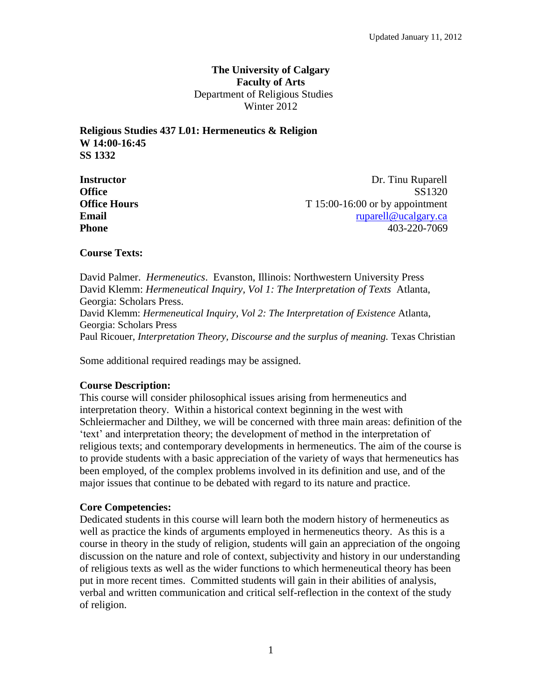## **The University of Calgary Faculty of Arts** Department of Religious Studies Winter 2012

**Religious Studies 437 L01: Hermeneutics & Religion W 14:00-16:45 SS 1332**

**Instructor** Dr. Tinu Ruparell Office SS1320 **Office** SS1320 **Office Hours** T 15:00-16:00 or by appointment **Email Email Email Email Email Email Email Email Email Email Email Email Email Email Email Email Email Email Email Email Email Email Email Email Email Email Email Email Phone** 403-220-7069

## **Course Texts:**

David Palmer. *Hermeneutics*. Evanston, Illinois: Northwestern University Press David Klemm: *Hermeneutical Inquiry, Vol 1: The Interpretation of Texts* Atlanta, Georgia: Scholars Press. David Klemm: *Hermeneutical Inquiry, Vol 2: The Interpretation of Existence* Atlanta, Georgia: Scholars Press Paul Ricouer, *Interpretation Theory, Discourse and the surplus of meaning*. Texas Christian

Some additional required readings may be assigned.

## **Course Description:**

This course will consider philosophical issues arising from hermeneutics and interpretation theory. Within a historical context beginning in the west with Schleiermacher and Dilthey, we will be concerned with three main areas: definition of the 'text' and interpretation theory; the development of method in the interpretation of religious texts; and contemporary developments in hermeneutics. The aim of the course is to provide students with a basic appreciation of the variety of ways that hermeneutics has been employed, of the complex problems involved in its definition and use, and of the major issues that continue to be debated with regard to its nature and practice.

## **Core Competencies:**

Dedicated students in this course will learn both the modern history of hermeneutics as well as practice the kinds of arguments employed in hermeneutics theory. As this is a course in theory in the study of religion, students will gain an appreciation of the ongoing discussion on the nature and role of context, subjectivity and history in our understanding of religious texts as well as the wider functions to which hermeneutical theory has been put in more recent times. Committed students will gain in their abilities of analysis, verbal and written communication and critical self-reflection in the context of the study of religion.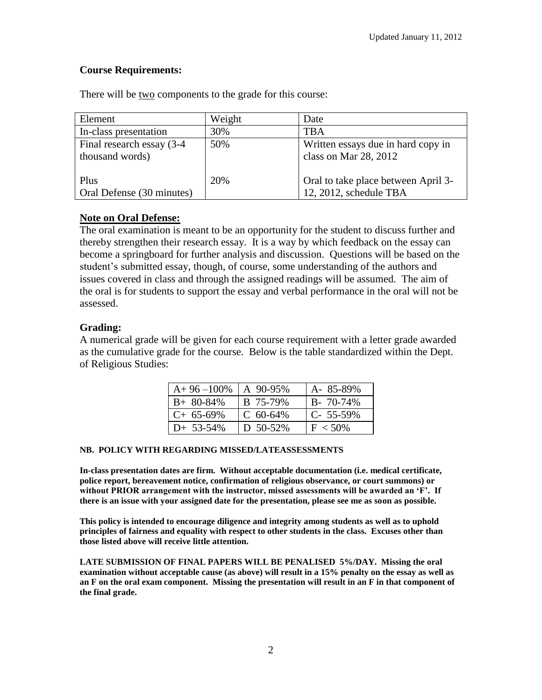# **Course Requirements:**

| Element                                       | Weight | Date                                                          |
|-----------------------------------------------|--------|---------------------------------------------------------------|
| In-class presentation                         | 30%    | TBA                                                           |
| Final research essay (3-4)<br>thousand words) | 50%    | Written essays due in hard copy in<br>class on Mar 28, 2012   |
| Plus<br>Oral Defense (30 minutes)             | 20%    | Oral to take place between April 3-<br>12, 2012, schedule TBA |

There will be two components to the grade for this course:

# **Note on Oral Defense:**

The oral examination is meant to be an opportunity for the student to discuss further and thereby strengthen their research essay. It is a way by which feedback on the essay can become a springboard for further analysis and discussion. Questions will be based on the student's submitted essay, though, of course, some understanding of the authors and issues covered in class and through the assigned readings will be assumed. The aim of the oral is for students to support the essay and verbal performance in the oral will not be assessed.

## **Grading:**

A numerical grade will be given for each course requirement with a letter grade awarded as the cumulative grade for the course. Below is the table standardized within the Dept. of Religious Studies:

| $A+96-100\%$ | $\vert$ A 90-95%    | A-85-89%        |
|--------------|---------------------|-----------------|
| $B+80-84%$   | B 75-79%            | $B - 70 - 74\%$ |
| $C+65-69%$   | $\mathsf{C}$ 60-64% | $C - 55 - 59\%$ |
| $D+ 53-54%$  | D 50-52%            | $F < 50\%$      |

## **NB. POLICY WITH REGARDING MISSED/LATEASSESSMENTS**

**In-class presentation dates are firm. Without acceptable documentation (i.e. medical certificate, police report, bereavement notice, confirmation of religious observance, or court summons) or without PRIOR arrangement with the instructor, missed assessments will be awarded an 'F'. If there is an issue with your assigned date for the presentation, please see me as soon as possible.**

**This policy is intended to encourage diligence and integrity among students as well as to uphold principles of fairness and equality with respect to other students in the class. Excuses other than those listed above will receive little attention.**

**LATE SUBMISSION OF FINAL PAPERS WILL BE PENALISED 5%/DAY. Missing the oral examination without acceptable cause (as above) will result in a 15% penalty on the essay as well as an F on the oral exam component. Missing the presentation will result in an F in that component of the final grade.**